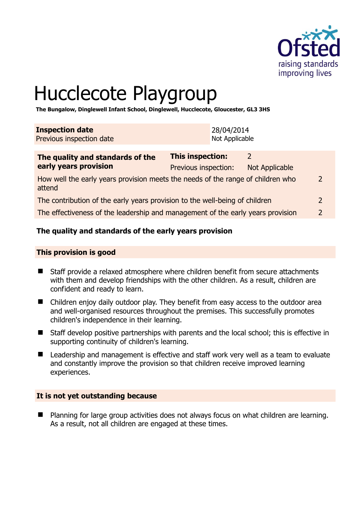

# Hucclecote Playgroup

**The Bungalow, Dinglewell Infant School, Dinglewell, Hucclecote, Gloucester, GL3 3HS** 

| <b>Inspection date</b>   | 28/04/2014     |
|--------------------------|----------------|
| Previous inspection date | Not Applicable |
|                          |                |

| The quality and standards of the                                                          | <b>This inspection:</b><br>2 |                |               |
|-------------------------------------------------------------------------------------------|------------------------------|----------------|---------------|
| early years provision                                                                     | Previous inspection:         | Not Applicable |               |
| How well the early years provision meets the needs of the range of children who<br>attend |                              |                |               |
| The contribution of the early years provision to the well-being of children               |                              |                |               |
| The effectiveness of the leadership and management of the early years provision           |                              |                | $\mathcal{L}$ |
|                                                                                           |                              |                |               |

# **The quality and standards of the early years provision**

#### **This provision is good**

- Staff provide a relaxed atmosphere where children benefit from secure attachments with them and develop friendships with the other children. As a result, children are confident and ready to learn.
- Children enjoy daily outdoor play. They benefit from easy access to the outdoor area and well-organised resources throughout the premises. This successfully promotes children's independence in their learning.
- Staff develop positive partnerships with parents and the local school; this is effective in supporting continuity of children's learning.
- Leadership and management is effective and staff work very well as a team to evaluate and constantly improve the provision so that children receive improved learning experiences.

#### **It is not yet outstanding because**

■ Planning for large group activities does not always focus on what children are learning. As a result, not all children are engaged at these times.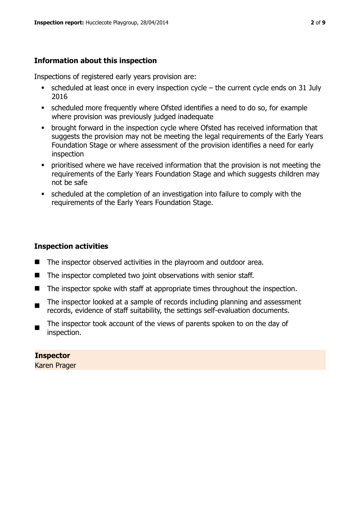# **Information about this inspection**

Inspections of registered early years provision are:

- scheduled at least once in every inspection cycle the current cycle ends on 31 July 2016
- scheduled more frequently where Ofsted identifies a need to do so, for example where provision was previously judged inadequate
- **•** brought forward in the inspection cycle where Ofsted has received information that suggests the provision may not be meeting the legal requirements of the Early Years Foundation Stage or where assessment of the provision identifies a need for early inspection
- **•** prioritised where we have received information that the provision is not meeting the requirements of the Early Years Foundation Stage and which suggests children may not be safe
- scheduled at the completion of an investigation into failure to comply with the requirements of the Early Years Foundation Stage.

# **Inspection activities**

- The inspector observed activities in the playroom and outdoor area.
- The inspector completed two joint observations with senior staff.
- $\blacksquare$  The inspector spoke with staff at appropriate times throughout the inspection.
- $\blacksquare$ The inspector looked at a sample of records including planning and assessment records, evidence of staff suitability, the settings self-evaluation documents.
- The inspector took account of the views of parents spoken to on the day of inspection.

# **Inspector**

Karen Prager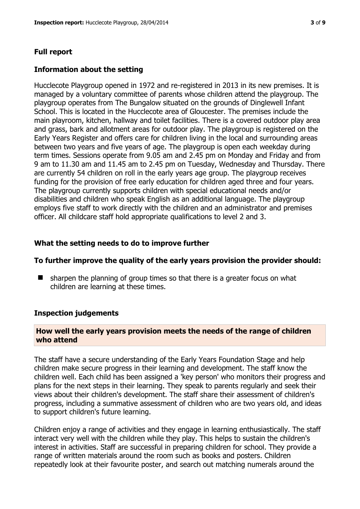# **Full report**

#### **Information about the setting**

Hucclecote Playgroup opened in 1972 and re-registered in 2013 in its new premises. It is managed by a voluntary committee of parents whose children attend the playgroup. The playgroup operates from The Bungalow situated on the grounds of Dinglewell Infant School. This is located in the Hucclecote area of Gloucester. The premises include the main playroom, kitchen, hallway and toilet facilities. There is a covered outdoor play area and grass, bark and allotment areas for outdoor play. The playgroup is registered on the Early Years Register and offers care for children living in the local and surrounding areas between two years and five years of age. The playgroup is open each weekday during term times. Sessions operate from 9.05 am and 2.45 pm on Monday and Friday and from 9 am to 11.30 am and 11.45 am to 2.45 pm on Tuesday, Wednesday and Thursday. There are currently 54 children on roll in the early years age group. The playgroup receives funding for the provision of free early education for children aged three and four years. The playgroup currently supports children with special educational needs and/or disabilities and children who speak English as an additional language. The playgroup employs five staff to work directly with the children and an administrator and premises officer. All childcare staff hold appropriate qualifications to level 2 and 3.

#### **What the setting needs to do to improve further**

#### **To further improve the quality of the early years provision the provider should:**

 $\blacksquare$  sharpen the planning of group times so that there is a greater focus on what children are learning at these times.

#### **Inspection judgements**

# **How well the early years provision meets the needs of the range of children who attend**

The staff have a secure understanding of the Early Years Foundation Stage and help children make secure progress in their learning and development. The staff know the children well. Each child has been assigned a 'key person' who monitors their progress and plans for the next steps in their learning. They speak to parents regularly and seek their views about their children's development. The staff share their assessment of children's progress, including a summative assessment of children who are two years old, and ideas to support children's future learning.

Children enjoy a range of activities and they engage in learning enthusiastically. The staff interact very well with the children while they play. This helps to sustain the children's interest in activities. Staff are successful in preparing children for school. They provide a range of written materials around the room such as books and posters. Children repeatedly look at their favourite poster, and search out matching numerals around the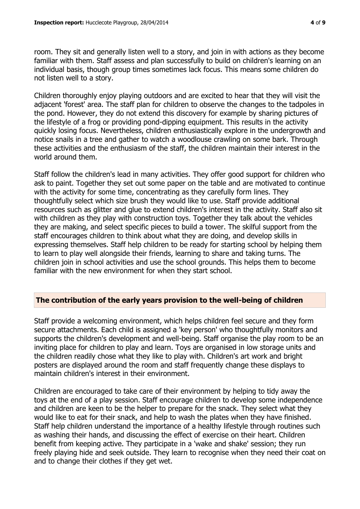room. They sit and generally listen well to a story, and join in with actions as they become familiar with them. Staff assess and plan successfully to build on children's learning on an individual basis, though group times sometimes lack focus. This means some children do not listen well to a story.

Children thoroughly enjoy playing outdoors and are excited to hear that they will visit the adjacent 'forest' area. The staff plan for children to observe the changes to the tadpoles in the pond. However, they do not extend this discovery for example by sharing pictures of the lifestyle of a frog or providing pond-dipping equipment. This results in the activity quickly losing focus. Nevertheless, children enthusiastically explore in the undergrowth and notice snails in a tree and gather to watch a woodlouse crawling on some bark. Through these activities and the enthusiasm of the staff, the children maintain their interest in the world around them.

Staff follow the children's lead in many activities. They offer good support for children who ask to paint. Together they set out some paper on the table and are motivated to continue with the activity for some time, concentrating as they carefully form lines. They thoughtfully select which size brush they would like to use. Staff provide additional resources such as glitter and glue to extend children's interest in the activity. Staff also sit with children as they play with construction toys. Together they talk about the vehicles they are making, and select specific pieces to build a tower. The skilful support from the staff encourages children to think about what they are doing, and develop skills in expressing themselves. Staff help children to be ready for starting school by helping them to learn to play well alongside their friends, learning to share and taking turns. The children join in school activities and use the school grounds. This helps them to become familiar with the new environment for when they start school.

# **The contribution of the early years provision to the well-being of children**

Staff provide a welcoming environment, which helps children feel secure and they form secure attachments. Each child is assigned a 'key person' who thoughtfully monitors and supports the children's development and well-being. Staff organise the play room to be an inviting place for children to play and learn. Toys are organised in low storage units and the children readily chose what they like to play with. Children's art work and bright posters are displayed around the room and staff frequently change these displays to maintain children's interest in their environment.

Children are encouraged to take care of their environment by helping to tidy away the toys at the end of a play session. Staff encourage children to develop some independence and children are keen to be the helper to prepare for the snack. They select what they would like to eat for their snack, and help to wash the plates when they have finished. Staff help children understand the importance of a healthy lifestyle through routines such as washing their hands, and discussing the effect of exercise on their heart. Children benefit from keeping active. They participate in a 'wake and shake' session; they run freely playing hide and seek outside. They learn to recognise when they need their coat on and to change their clothes if they get wet.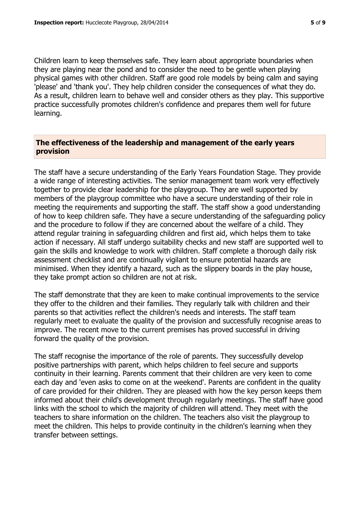Children learn to keep themselves safe. They learn about appropriate boundaries when they are playing near the pond and to consider the need to be gentle when playing physical games with other children. Staff are good role models by being calm and saying 'please' and 'thank you'. They help children consider the consequences of what they do. As a result, children learn to behave well and consider others as they play. This supportive practice successfully promotes children's confidence and prepares them well for future learning.

#### **The effectiveness of the leadership and management of the early years provision**

The staff have a secure understanding of the Early Years Foundation Stage. They provide a wide range of interesting activities. The senior management team work very effectively together to provide clear leadership for the playgroup. They are well supported by members of the playgroup committee who have a secure understanding of their role in meeting the requirements and supporting the staff. The staff show a good understanding of how to keep children safe. They have a secure understanding of the safeguarding policy and the procedure to follow if they are concerned about the welfare of a child. They attend regular training in safeguarding children and first aid, which helps them to take action if necessary. All staff undergo suitability checks and new staff are supported well to gain the skills and knowledge to work with children. Staff complete a thorough daily risk assessment checklist and are continually vigilant to ensure potential hazards are minimised. When they identify a hazard, such as the slippery boards in the play house, they take prompt action so children are not at risk.

The staff demonstrate that they are keen to make continual improvements to the service they offer to the children and their families. They regularly talk with children and their parents so that activities reflect the children's needs and interests. The staff team regularly meet to evaluate the quality of the provision and successfully recognise areas to improve. The recent move to the current premises has proved successful in driving forward the quality of the provision.

The staff recognise the importance of the role of parents. They successfully develop positive partnerships with parent, which helps children to feel secure and supports continuity in their learning. Parents comment that their children are very keen to come each day and 'even asks to come on at the weekend'. Parents are confident in the quality of care provided for their children. They are pleased with how the key person keeps them informed about their child's development through regularly meetings. The staff have good links with the school to which the majority of children will attend. They meet with the teachers to share information on the children. The teachers also visit the playgroup to meet the children. This helps to provide continuity in the children's learning when they transfer between settings.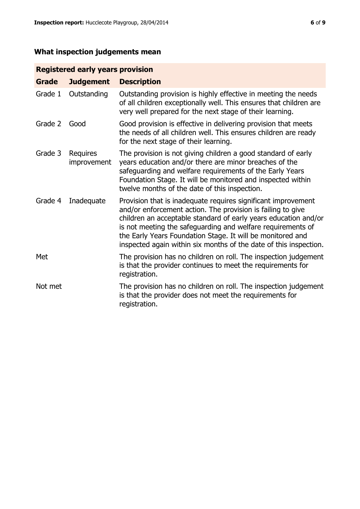# **What inspection judgements mean**

# **Registered early years provision**

| <b>Grade</b> | <b>Judgement</b>        | <b>Description</b>                                                                                                                                                                                                                                                                                                                                                                                |
|--------------|-------------------------|---------------------------------------------------------------------------------------------------------------------------------------------------------------------------------------------------------------------------------------------------------------------------------------------------------------------------------------------------------------------------------------------------|
| Grade 1      | Outstanding             | Outstanding provision is highly effective in meeting the needs<br>of all children exceptionally well. This ensures that children are<br>very well prepared for the next stage of their learning.                                                                                                                                                                                                  |
| Grade 2      | Good                    | Good provision is effective in delivering provision that meets<br>the needs of all children well. This ensures children are ready<br>for the next stage of their learning.                                                                                                                                                                                                                        |
| Grade 3      | Requires<br>improvement | The provision is not giving children a good standard of early<br>years education and/or there are minor breaches of the<br>safeguarding and welfare requirements of the Early Years<br>Foundation Stage. It will be monitored and inspected within<br>twelve months of the date of this inspection.                                                                                               |
| Grade 4      | Inadequate              | Provision that is inadequate requires significant improvement<br>and/or enforcement action. The provision is failing to give<br>children an acceptable standard of early years education and/or<br>is not meeting the safeguarding and welfare requirements of<br>the Early Years Foundation Stage. It will be monitored and<br>inspected again within six months of the date of this inspection. |
| Met          |                         | The provision has no children on roll. The inspection judgement<br>is that the provider continues to meet the requirements for<br>registration.                                                                                                                                                                                                                                                   |
| Not met      |                         | The provision has no children on roll. The inspection judgement<br>is that the provider does not meet the requirements for<br>registration.                                                                                                                                                                                                                                                       |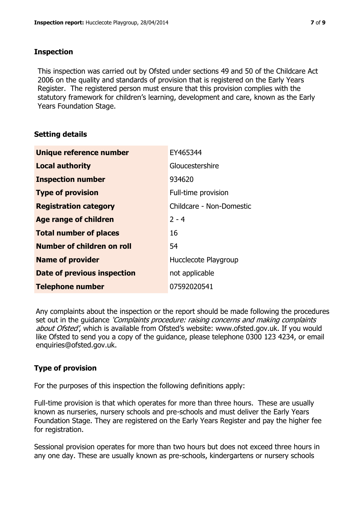# **Inspection**

This inspection was carried out by Ofsted under sections 49 and 50 of the Childcare Act 2006 on the quality and standards of provision that is registered on the Early Years Register. The registered person must ensure that this provision complies with the statutory framework for children's learning, development and care, known as the Early Years Foundation Stage.

# **Setting details**

| Unique reference number       | EY465344                 |
|-------------------------------|--------------------------|
| <b>Local authority</b>        | Gloucestershire          |
| <b>Inspection number</b>      | 934620                   |
| <b>Type of provision</b>      | Full-time provision      |
| <b>Registration category</b>  | Childcare - Non-Domestic |
| <b>Age range of children</b>  | $2 - 4$                  |
| <b>Total number of places</b> | 16                       |
| Number of children on roll    | 54                       |
| <b>Name of provider</b>       | Hucclecote Playgroup     |
| Date of previous inspection   | not applicable           |
| <b>Telephone number</b>       | 07592020541              |

Any complaints about the inspection or the report should be made following the procedures set out in the guidance *'Complaints procedure: raising concerns and making complaints* about Ofsted', which is available from Ofsted's website: www.ofsted.gov.uk. If you would like Ofsted to send you a copy of the guidance, please telephone 0300 123 4234, or email enquiries@ofsted.gov.uk.

# **Type of provision**

For the purposes of this inspection the following definitions apply:

Full-time provision is that which operates for more than three hours. These are usually known as nurseries, nursery schools and pre-schools and must deliver the Early Years Foundation Stage. They are registered on the Early Years Register and pay the higher fee for registration.

Sessional provision operates for more than two hours but does not exceed three hours in any one day. These are usually known as pre-schools, kindergartens or nursery schools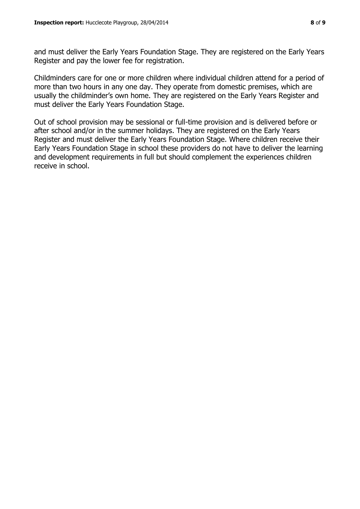and must deliver the Early Years Foundation Stage. They are registered on the Early Years Register and pay the lower fee for registration.

Childminders care for one or more children where individual children attend for a period of more than two hours in any one day. They operate from domestic premises, which are usually the childminder's own home. They are registered on the Early Years Register and must deliver the Early Years Foundation Stage.

Out of school provision may be sessional or full-time provision and is delivered before or after school and/or in the summer holidays. They are registered on the Early Years Register and must deliver the Early Years Foundation Stage. Where children receive their Early Years Foundation Stage in school these providers do not have to deliver the learning and development requirements in full but should complement the experiences children receive in school.